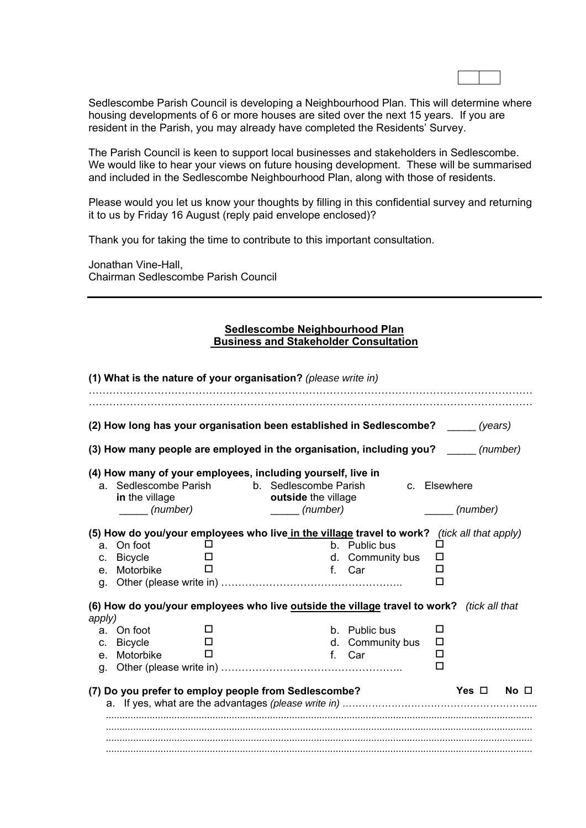Sedlescombe Parish Council is developing a Neighbourhood Plan. This will determine where housing developments of 6 or more houses are sited over the next 15 years. If you are resident in the Parish, you may already have completed the Residents' Survey.

The Parish Council is keen to support local businesses and stakeholders in Sedlescombe. We would like to hear your views on future housing development. These will be summarised and included in the Sedlescombe Neighbourhood Plan, along with those of residents.

Please would you let us know your thoughts by filling in this confidential survey and returning it to us by Friday 16 August (reply paid envelope enclosed)?

Thank you for taking the time to contribute to this important consultation.

Jonathan Vine-Hall, Chairman Sedlescombe Parish Council

## **Sedlescombe Neighbourhood Plan Business and Stakeholder Consultation**

|                                     | (2) How long has your organisation been established in Sedlescombe? ______ (years)                                                                                                                                                    |        |                                 |                                             |   |                          |             |
|-------------------------------------|---------------------------------------------------------------------------------------------------------------------------------------------------------------------------------------------------------------------------------------|--------|---------------------------------|---------------------------------------------|---|--------------------------|-------------|
|                                     | (3) How many people are employed in the organisation, including you?                                                                                                                                                                  |        |                                 |                                             |   |                          | (number)    |
|                                     | (4) How many of your employees, including yourself, live in<br>a. Sedlescombe Parish b. Sedlescombe Parish<br>in the village<br>(number)                                                                                              |        | outside the village<br>(number) |                                             |   | c. Elsewhere<br>(number) |             |
| C.<br>$e_{-}$<br>g.                 | (5) How do you/your employees who live in the village travel to work? (tick all that apply)<br>a. On foot<br><b>Bicycle</b><br>Motorbike<br>(6) How do you/your employees who live outside the village travel to work? (tick all that | ப<br>П | $f_{\perp}$                     | b. Public bus<br>d. Community bus<br>Car    |   | □<br>◻<br>□              |             |
| apply)<br>a.<br>C.<br>$e_{-}$<br>g. | On foot<br><b>Bicycle</b><br>Motorbike                                                                                                                                                                                                | П<br>П |                                 | b. Public bus<br>d. Community bus<br>f. Car | □ | □<br>□<br>□              |             |
|                                     | (7) Do you prefer to employ people from Sedlescombe?                                                                                                                                                                                  |        |                                 |                                             |   | Yes $\Box$               | $No$ $\Box$ |